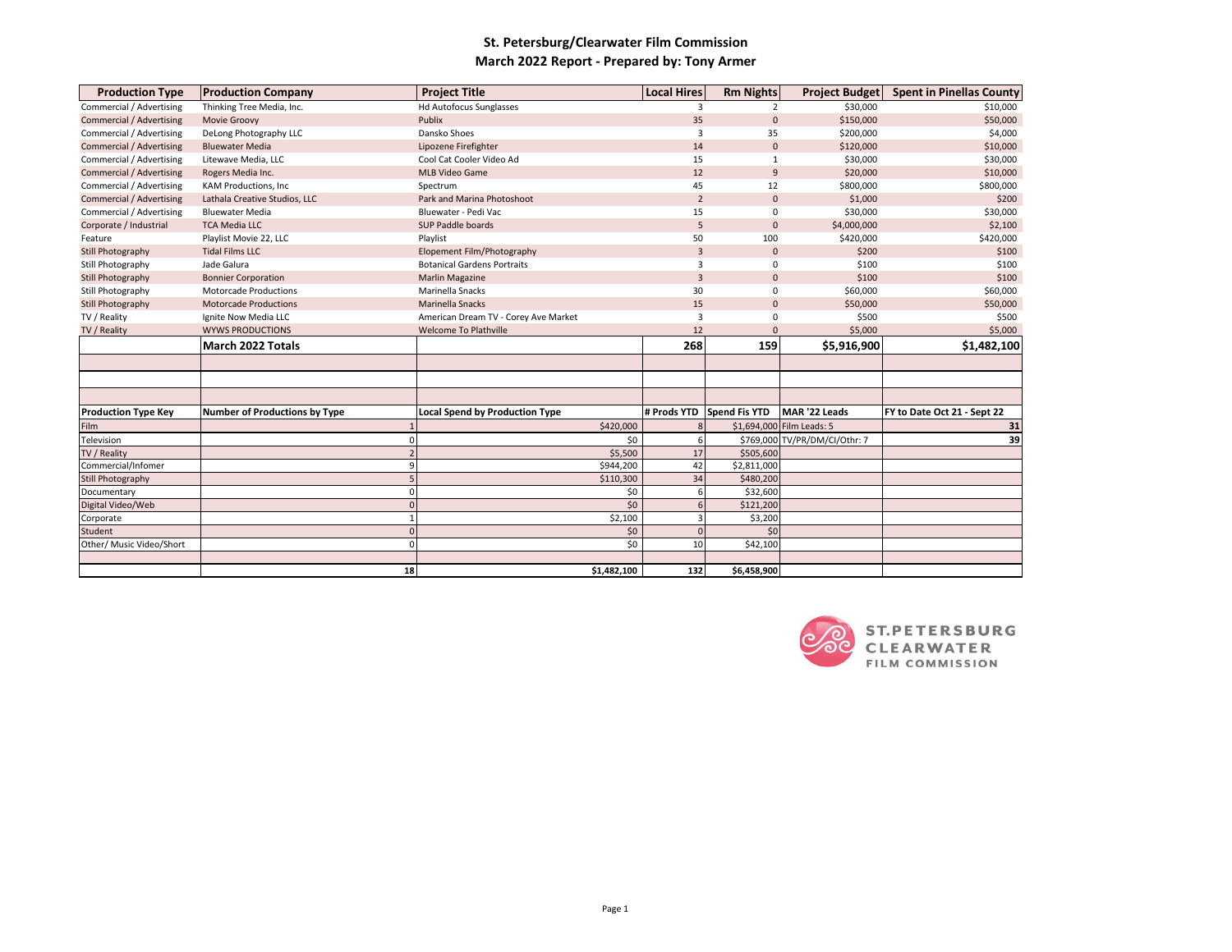## **St. Petersburg/Clearwater Film Commission March 2022 Report - Prepared by: Tony Armer**

| <b>Production Type</b>          | <b>Production Company</b>            | <b>Project Title</b>                  |             | <b>Local Hires</b> | <b>Rm Nights</b>     | Project Budget                | <b>Spent in Pinellas County</b> |
|---------------------------------|--------------------------------------|---------------------------------------|-------------|--------------------|----------------------|-------------------------------|---------------------------------|
| Commercial / Advertising        | Thinking Tree Media, Inc.            | <b>Hd Autofocus Sunglasses</b>        |             | 3                  | 2                    | \$30,000                      | \$10,000                        |
| <b>Commercial / Advertising</b> | Movie Groovy                         | Publix                                |             | 35                 | $\mathbf{0}$         | \$150,000                     | \$50,000                        |
| Commercial / Advertising        | DeLong Photography LLC               | Dansko Shoes                          |             | 3                  | 35                   | \$200,000                     | \$4,000                         |
| <b>Commercial / Advertising</b> | <b>Bluewater Media</b>               | Lipozene Firefighter                  |             | 14                 | $\mathbf{0}$         | \$120,000                     | \$10,000                        |
| Commercial / Advertising        | Litewave Media, LLC                  | Cool Cat Cooler Video Ad              |             | 15                 | $\mathbf{1}$         | \$30,000                      | \$30,000                        |
| Commercial / Advertising        | Rogers Media Inc.                    | <b>MLB Video Game</b>                 |             | 12                 | 9                    | \$20,000                      | \$10,000                        |
| Commercial / Advertising        | <b>KAM Productions, Inc</b>          | Spectrum                              |             | 45                 | 12                   | \$800,000                     | \$800,000                       |
| <b>Commercial / Advertising</b> | Lathala Creative Studios, LLC        | Park and Marina Photoshoot            |             | $\overline{2}$     | $\Omega$             | \$1,000                       | \$200                           |
| Commercial / Advertising        | <b>Bluewater Media</b>               | Bluewater - Pedi Vac                  |             | 15                 | 0                    | \$30,000                      | \$30,000                        |
| Corporate / Industrial          | <b>TCA Media LLC</b>                 | SUP Paddle boards                     |             | 5                  | $\mathbf 0$          | \$4,000,000                   | \$2,100                         |
| Feature                         | Playlist Movie 22, LLC               | Playlist                              |             |                    | 100                  | \$420,000                     | \$420,000                       |
| Still Photography               | <b>Tidal Films LLC</b>               | Elopement Film/Photography            |             | $\overline{3}$     | $\mathbf{0}$         | \$200                         | \$100                           |
| Still Photography               | Jade Galura                          | <b>Botanical Gardens Portraits</b>    |             | 3                  | 0                    | \$100                         | \$100                           |
| <b>Still Photography</b>        | <b>Bonnier Corporation</b>           | <b>Marlin Magazine</b>                | 3           |                    | $\mathbf 0$          | \$100                         | \$100                           |
| Still Photography               | <b>Motorcade Productions</b>         | Marinella Snacks                      |             | 30                 | 0                    | \$60,000                      | \$60,000                        |
| Still Photography               | <b>Motorcade Productions</b>         | Marinella Snacks                      |             | 15                 | $\Omega$             | \$50,000                      | \$50,000                        |
| TV / Reality                    | Ignite Now Media LLC                 | American Dream TV - Corey Ave Market  |             |                    | 0                    | \$500                         | \$500                           |
| TV / Reality                    | <b>WYWS PRODUCTIONS</b>              | <b>Welcome To Plathville</b>          |             | 12                 | $\Omega$             | \$5,000                       | \$5,000                         |
|                                 | March 2022 Totals                    |                                       |             | 268                | 159                  | \$5,916,900                   | \$1,482,100                     |
|                                 |                                      |                                       |             |                    |                      |                               |                                 |
|                                 |                                      |                                       |             |                    |                      |                               |                                 |
|                                 |                                      |                                       |             |                    |                      |                               |                                 |
|                                 |                                      |                                       |             |                    |                      |                               |                                 |
| <b>Production Type Key</b>      | <b>Number of Productions by Type</b> | <b>Local Spend by Production Type</b> |             | # Prods YTD        | <b>Spend Fis YTD</b> | MAR '22 Leads                 | FY to Date Oct 21 - Sept 22     |
| Film                            |                                      |                                       | \$420,000   |                    |                      | \$1,694,000 Film Leads: 5     | 31                              |
| Television                      |                                      |                                       | \$0         |                    |                      | \$769,000 TV/PR/DM/CI/Othr: 7 | 39                              |
| TV / Reality                    |                                      |                                       | \$5,500     | 17                 | \$505,600            |                               |                                 |
| Commercial/Infomer              | ٩                                    |                                       | \$944,200   | 42                 | \$2,811,000          |                               |                                 |
| Still Photography               |                                      |                                       | \$110,300   | 34                 | \$480,200            |                               |                                 |
| Documentary                     | n                                    |                                       | \$0         |                    | \$32,600             |                               |                                 |
| Digital Video/Web               |                                      |                                       | \$0         |                    | \$121,200            |                               |                                 |
| Corporate                       |                                      |                                       | \$2,100     |                    | \$3,200              |                               |                                 |
| Student                         | $\Omega$                             |                                       | \$0         |                    | \$0                  |                               |                                 |
| Other/ Music Video/Short        | $\Omega$                             |                                       | \$0         | 10                 | \$42,100             |                               |                                 |
|                                 |                                      |                                       |             |                    |                      |                               |                                 |
|                                 | 18                                   |                                       | \$1,482,100 | 132                | \$6,458,900          |                               |                                 |

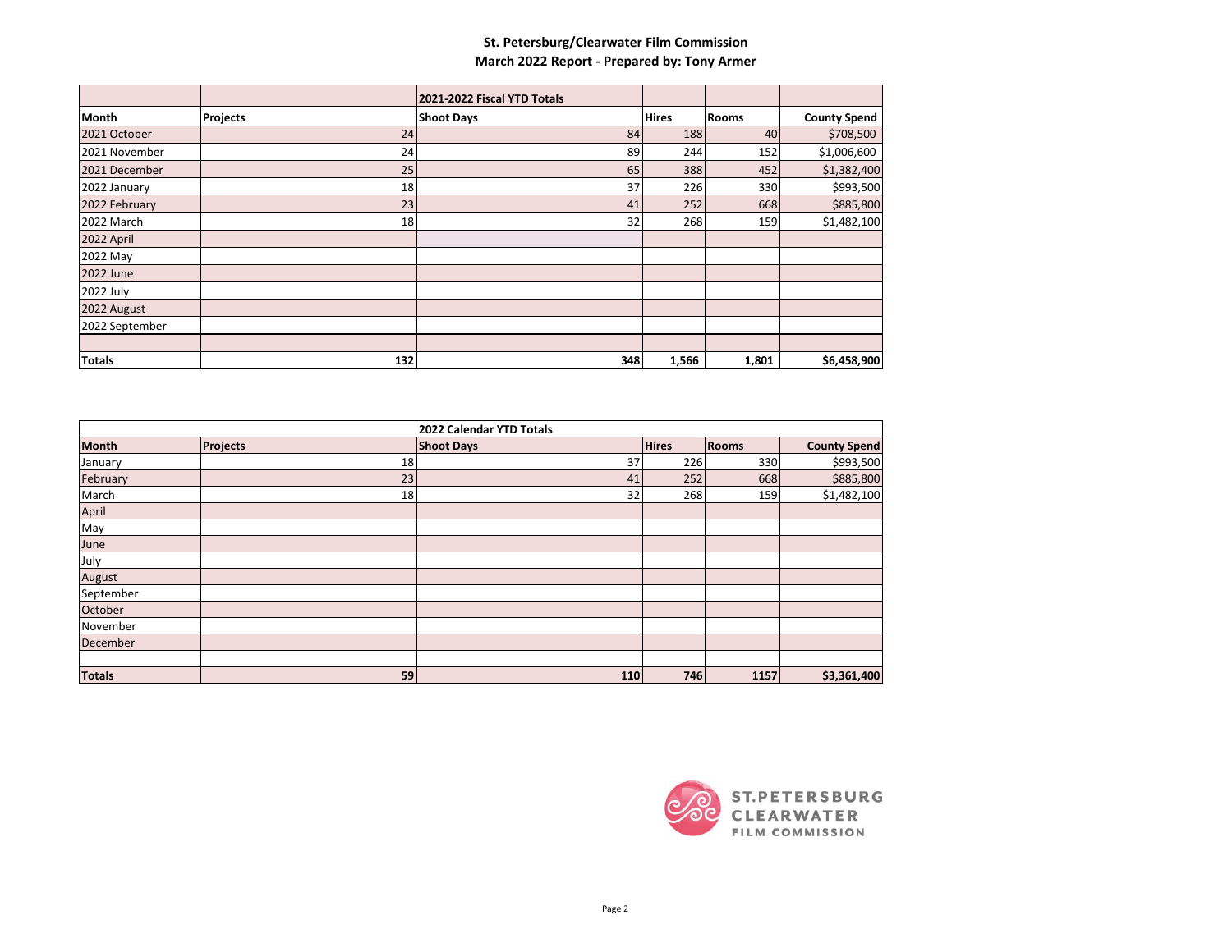## **St. Petersburg/Clearwater Film Commission March 2022 Report - Prepared by: Tony Armer**

|                |                 | 2021-2022 Fiscal YTD Totals |              |              |                     |
|----------------|-----------------|-----------------------------|--------------|--------------|---------------------|
| Month          | <b>Projects</b> | <b>Shoot Days</b>           | <b>Hires</b> | <b>Rooms</b> | <b>County Spend</b> |
| 2021 October   | 24              | 84                          | 188          | 40           | \$708,500           |
| 2021 November  | 24              | 89                          | 244          | 152          | \$1,006,600         |
| 2021 December  | 25              | 65                          | 388          | 452          | \$1,382,400         |
| 2022 January   | 18              | 37                          | 226          | 330          | \$993,500           |
| 2022 February  | 23              | 41                          | 252          | 668          | \$885,800           |
| 2022 March     | 18              | 32                          | 268          | 159          | \$1,482,100         |
| 2022 April     |                 |                             |              |              |                     |
| 2022 May       |                 |                             |              |              |                     |
| 2022 June      |                 |                             |              |              |                     |
| 2022 July      |                 |                             |              |              |                     |
| 2022 August    |                 |                             |              |              |                     |
| 2022 September |                 |                             |              |              |                     |
|                |                 |                             |              |              |                     |
| <b>Totals</b>  | 132             | 348                         | 1,566        | 1,801        | \$6,458,900         |

| 2022 Calendar YTD Totals |                 |                   |              |              |                     |  |  |
|--------------------------|-----------------|-------------------|--------------|--------------|---------------------|--|--|
| <b>Month</b>             | <b>Projects</b> | <b>Shoot Days</b> | <b>Hires</b> | <b>Rooms</b> | <b>County Spend</b> |  |  |
| January                  | 18              | 37                | 226          | 330          | \$993,500           |  |  |
| February                 | 23              | 41                | 252          | 668          | \$885,800           |  |  |
| March                    | 18              | 32                | 268          | 159          | \$1,482,100         |  |  |
| April                    |                 |                   |              |              |                     |  |  |
| May                      |                 |                   |              |              |                     |  |  |
| June                     |                 |                   |              |              |                     |  |  |
| July                     |                 |                   |              |              |                     |  |  |
| August                   |                 |                   |              |              |                     |  |  |
| September                |                 |                   |              |              |                     |  |  |
| October                  |                 |                   |              |              |                     |  |  |
| November                 |                 |                   |              |              |                     |  |  |
| December                 |                 |                   |              |              |                     |  |  |
|                          |                 |                   |              |              |                     |  |  |
| <b>Totals</b>            | 59              | 110               | 746          | 1157         | \$3,361,400         |  |  |